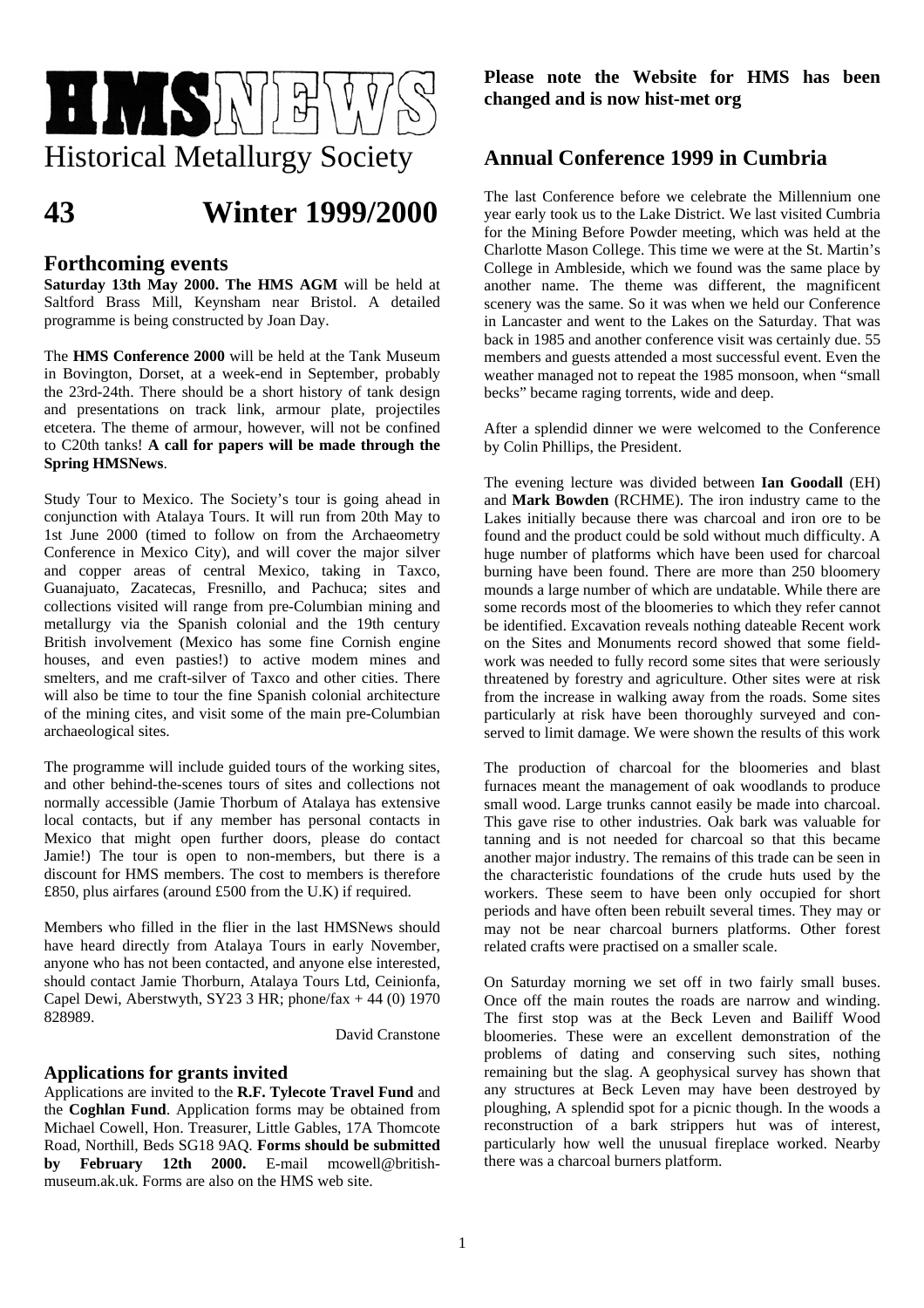

# **43 Winter 1999/2000**

## **Forthcoming events**

**Saturday 13th May 2000. The HMS AGM** will be held at Saltford Brass Mill, Keynsham near Bristol. A detailed programme is being constructed by Joan Day.

The **HMS Conference 2000** will be held at the Tank Museum in Bovington, Dorset, at a week-end in September, probably the 23rd-24th. There should be a short history of tank design and presentations on track link, armour plate, projectiles etcetera. The theme of armour, however, will not be confined to C20th tanks! **A call for papers will be made through the Spring HMSNews**.

Study Tour to Mexico. The Society's tour is going ahead in conjunction with Atalaya Tours. It will run from 20th May to 1st June 2000 (timed to follow on from the Archaeometry Conference in Mexico City), and will cover the major silver and copper areas of central Mexico, taking in Taxco, Guanajuato, Zacatecas, Fresnillo, and Pachuca; sites and collections visited will range from pre-Columbian mining and metallurgy via the Spanish colonial and the 19th century British involvement (Mexico has some fine Cornish engine houses, and even pasties!) to active modem mines and smelters, and me craft-silver of Taxco and other cities. There will also be time to tour the fine Spanish colonial architecture of the mining cites, and visit some of the main pre-Columbian archaeological sites.

The programme will include guided tours of the working sites, and other behind-the-scenes tours of sites and collections not normally accessible (Jamie Thorbum of Atalaya has extensive local contacts, but if any member has personal contacts in Mexico that might open further doors, please do contact Jamie!) The tour is open to non-members, but there is a discount for HMS members. The cost to members is therefore £850, plus airfares (around £500 from the U.K) if required.

Members who filled in the flier in the last HMSNews should have heard directly from Atalaya Tours in early November, anyone who has not been contacted, and anyone else interested, should contact Jamie Thorburn, Atalaya Tours Ltd, Ceinionfa, Capel Dewi, Aberstwyth, SY23 3 HR; phone/fax  $+44$  (0) 1970 828989.

David Cranstone

### **Applications for grants invited**

Applications are invited to the **R.F. Tylecote Travel Fund** and the **Coghlan Fund**. Application forms may be obtained from Michael Cowell, Hon. Treasurer, Little Gables, 17A Thomcote Road, Northill, Beds SG18 9AQ. **Forms should be submitted by February 12th 2000.** E-mail mcowell@britishmuseum.ak.uk. Forms are also on the HMS web site.

**Please note the Website for HMS has been changed and is now hist-met org** 

# **Annual Conference 1999 in Cumbria**

The last Conference before we celebrate the Millennium one year early took us to the Lake District. We last visited Cumbria for the Mining Before Powder meeting, which was held at the Charlotte Mason College. This time we were at the St. Martin's College in Ambleside, which we found was the same place by another name. The theme was different, the magnificent scenery was the same. So it was when we held our Conference in Lancaster and went to the Lakes on the Saturday. That was back in 1985 and another conference visit was certainly due. 55 members and guests attended a most successful event. Even the weather managed not to repeat the 1985 monsoon, when "small becks" became raging torrents, wide and deep.

After a splendid dinner we were welcomed to the Conference by Colin Phillips, the President.

The evening lecture was divided between **Ian Goodall** (EH) and **Mark Bowden** (RCHME). The iron industry came to the Lakes initially because there was charcoal and iron ore to be found and the product could be sold without much difficulty. A huge number of platforms which have been used for charcoal burning have been found. There are more than 250 bloomery mounds a large number of which are undatable. While there are some records most of the bloomeries to which they refer cannot be identified. Excavation reveals nothing dateable Recent work on the Sites and Monuments record showed that some fieldwork was needed to fully record some sites that were seriously threatened by forestry and agriculture. Other sites were at risk from the increase in walking away from the roads. Some sites particularly at risk have been thoroughly surveyed and conserved to limit damage. We were shown the results of this work

The production of charcoal for the bloomeries and blast furnaces meant the management of oak woodlands to produce small wood. Large trunks cannot easily be made into charcoal. This gave rise to other industries. Oak bark was valuable for tanning and is not needed for charcoal so that this became another major industry. The remains of this trade can be seen in the characteristic foundations of the crude huts used by the workers. These seem to have been only occupied for short periods and have often been rebuilt several times. They may or may not be near charcoal burners platforms. Other forest related crafts were practised on a smaller scale.

On Saturday morning we set off in two fairly small buses. Once off the main routes the roads are narrow and winding. The first stop was at the Beck Leven and Bailiff Wood bloomeries. These were an excellent demonstration of the problems of dating and conserving such sites, nothing remaining but the slag. A geophysical survey has shown that any structures at Beck Leven may have been destroyed by ploughing, A splendid spot for a picnic though. In the woods a reconstruction of a bark strippers hut was of interest, particularly how well the unusual fireplace worked. Nearby there was a charcoal burners platform.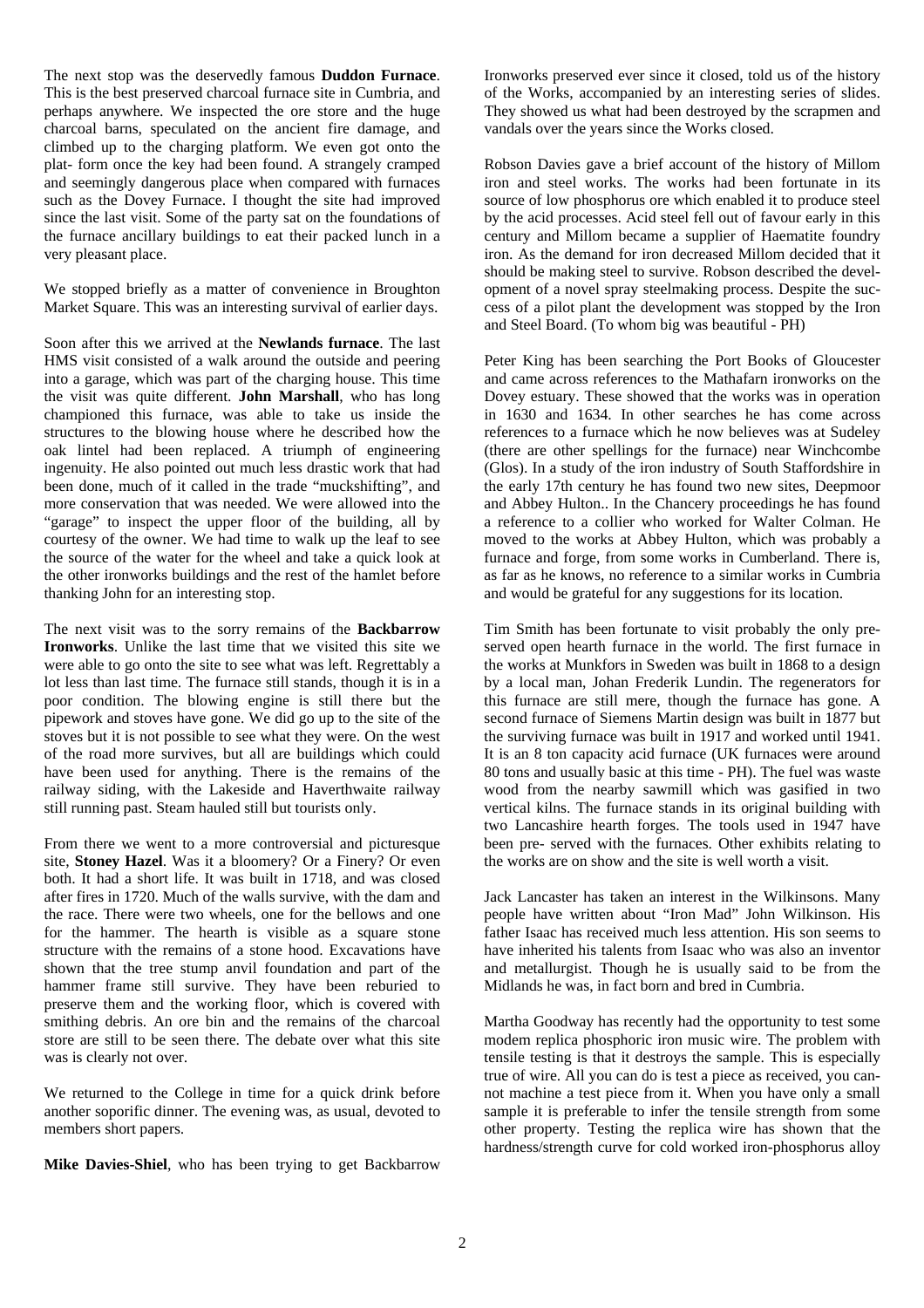The next stop was the deservedly famous **Duddon Furnace**. This is the best preserved charcoal furnace site in Cumbria, and perhaps anywhere. We inspected the ore store and the huge charcoal barns, speculated on the ancient fire damage, and climbed up to the charging platform. We even got onto the plat- form once the key had been found. A strangely cramped and seemingly dangerous place when compared with furnaces such as the Dovey Furnace. I thought the site had improved since the last visit. Some of the party sat on the foundations of the furnace ancillary buildings to eat their packed lunch in a very pleasant place.

We stopped briefly as a matter of convenience in Broughton Market Square. This was an interesting survival of earlier days.

Soon after this we arrived at the **Newlands furnace**. The last HMS visit consisted of a walk around the outside and peering into a garage, which was part of the charging house. This time the visit was quite different. **John Marshall**, who has long championed this furnace, was able to take us inside the structures to the blowing house where he described how the oak lintel had been replaced. A triumph of engineering ingenuity. He also pointed out much less drastic work that had been done, much of it called in the trade "muckshifting", and more conservation that was needed. We were allowed into the "garage" to inspect the upper floor of the building, all by courtesy of the owner. We had time to walk up the leaf to see the source of the water for the wheel and take a quick look at the other ironworks buildings and the rest of the hamlet before thanking John for an interesting stop.

The next visit was to the sorry remains of the **Backbarrow Ironworks**. Unlike the last time that we visited this site we were able to go onto the site to see what was left. Regrettably a lot less than last time. The furnace still stands, though it is in a poor condition. The blowing engine is still there but the pipework and stoves have gone. We did go up to the site of the stoves but it is not possible to see what they were. On the west of the road more survives, but all are buildings which could have been used for anything. There is the remains of the railway siding, with the Lakeside and Haverthwaite railway still running past. Steam hauled still but tourists only.

From there we went to a more controversial and picturesque site, **Stoney Hazel**. Was it a bloomery? Or a Finery? Or even both. It had a short life. It was built in 1718, and was closed after fires in 1720. Much of the walls survive, with the dam and the race. There were two wheels, one for the bellows and one for the hammer. The hearth is visible as a square stone structure with the remains of a stone hood. Excavations have shown that the tree stump anvil foundation and part of the hammer frame still survive. They have been reburied to preserve them and the working floor, which is covered with smithing debris. An ore bin and the remains of the charcoal store are still to be seen there. The debate over what this site was is clearly not over.

We returned to the College in time for a quick drink before another soporific dinner. The evening was, as usual, devoted to members short papers.

**Mike Davies-Shiel**, who has been trying to get Backbarrow

Ironworks preserved ever since it closed, told us of the history of the Works, accompanied by an interesting series of slides. They showed us what had been destroyed by the scrapmen and vandals over the years since the Works closed.

Robson Davies gave a brief account of the history of Millom iron and steel works. The works had been fortunate in its source of low phosphorus ore which enabled it to produce steel by the acid processes. Acid steel fell out of favour early in this century and Millom became a supplier of Haematite foundry iron. As the demand for iron decreased Millom decided that it should be making steel to survive. Robson described the development of a novel spray steelmaking process. Despite the success of a pilot plant the development was stopped by the Iron and Steel Board. (To whom big was beautiful - PH)

Peter King has been searching the Port Books of Gloucester and came across references to the Mathafarn ironworks on the Dovey estuary. These showed that the works was in operation in 1630 and 1634. In other searches he has come across references to a furnace which he now believes was at Sudeley (there are other spellings for the furnace) near Winchcombe (Glos). In a study of the iron industry of South Staffordshire in the early 17th century he has found two new sites, Deepmoor and Abbey Hulton.. In the Chancery proceedings he has found a reference to a collier who worked for Walter Colman. He moved to the works at Abbey Hulton, which was probably a furnace and forge, from some works in Cumberland. There is, as far as he knows, no reference to a similar works in Cumbria and would be grateful for any suggestions for its location.

Tim Smith has been fortunate to visit probably the only preserved open hearth furnace in the world. The first furnace in the works at Munkfors in Sweden was built in 1868 to a design by a local man, Johan Frederik Lundin. The regenerators for this furnace are still mere, though the furnace has gone. A second furnace of Siemens Martin design was built in 1877 but the surviving furnace was built in 1917 and worked until 1941. It is an 8 ton capacity acid furnace (UK furnaces were around 80 tons and usually basic at this time - PH). The fuel was waste wood from the nearby sawmill which was gasified in two vertical kilns. The furnace stands in its original building with two Lancashire hearth forges. The tools used in 1947 have been pre- served with the furnaces. Other exhibits relating to the works are on show and the site is well worth a visit.

Jack Lancaster has taken an interest in the Wilkinsons. Many people have written about "Iron Mad" John Wilkinson. His father Isaac has received much less attention. His son seems to have inherited his talents from Isaac who was also an inventor and metallurgist. Though he is usually said to be from the Midlands he was, in fact born and bred in Cumbria.

Martha Goodway has recently had the opportunity to test some modem replica phosphoric iron music wire. The problem with tensile testing is that it destroys the sample. This is especially true of wire. All you can do is test a piece as received, you cannot machine a test piece from it. When you have only a small sample it is preferable to infer the tensile strength from some other property. Testing the replica wire has shown that the hardness/strength curve for cold worked iron-phosphorus alloy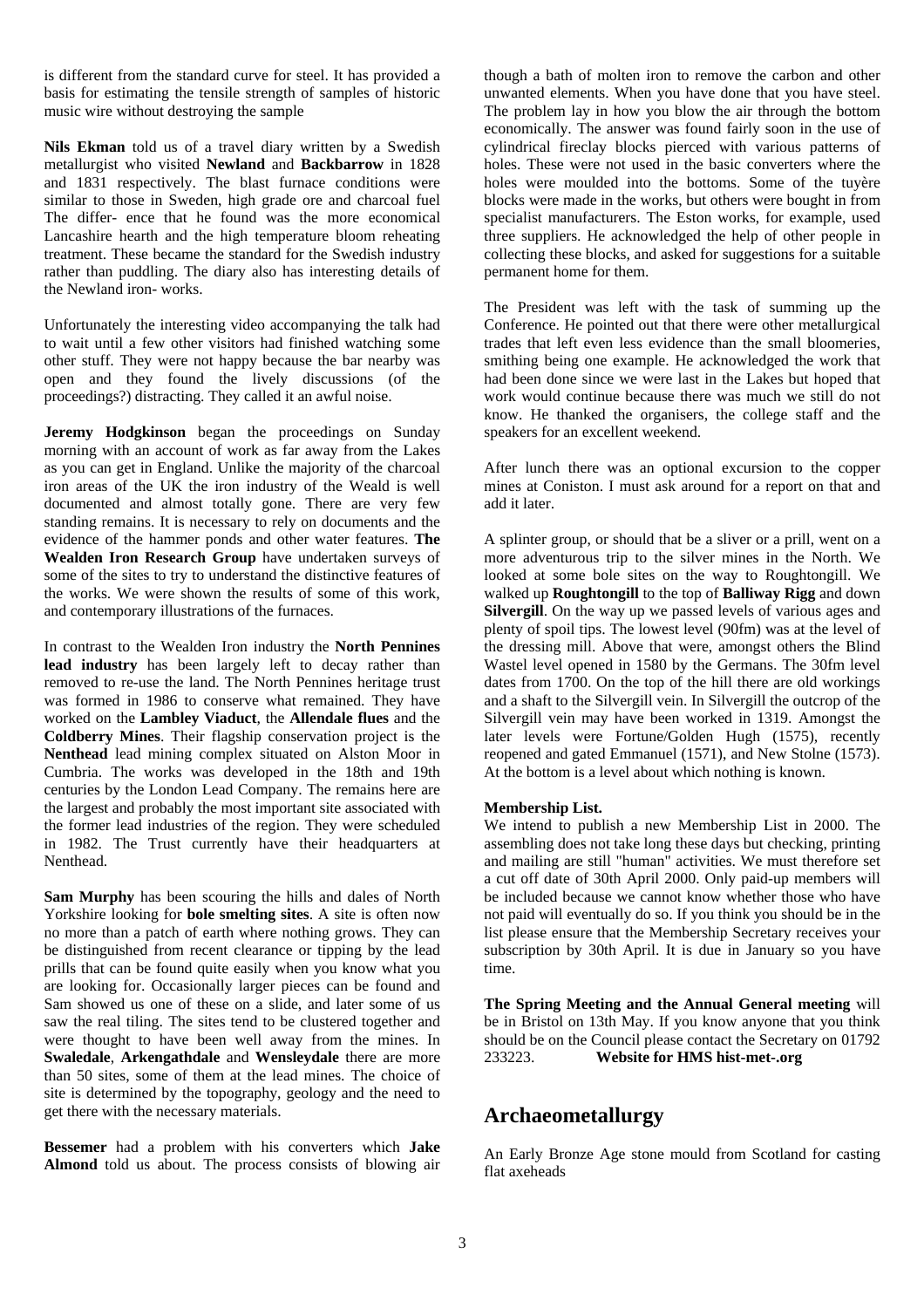is different from the standard curve for steel. It has provided a basis for estimating the tensile strength of samples of historic music wire without destroying the sample

**Nils Ekman** told us of a travel diary written by a Swedish metallurgist who visited **Newland** and **Backbarrow** in 1828 and 1831 respectively. The blast furnace conditions were similar to those in Sweden, high grade ore and charcoal fuel The differ- ence that he found was the more economical Lancashire hearth and the high temperature bloom reheating treatment. These became the standard for the Swedish industry rather than puddling. The diary also has interesting details of the Newland iron- works.

Unfortunately the interesting video accompanying the talk had to wait until a few other visitors had finished watching some other stuff. They were not happy because the bar nearby was open and they found the lively discussions (of the proceedings?) distracting. They called it an awful noise.

**Jeremy Hodgkinson** began the proceedings on Sunday morning with an account of work as far away from the Lakes as you can get in England. Unlike the majority of the charcoal iron areas of the UK the iron industry of the Weald is well documented and almost totally gone. There are very few standing remains. It is necessary to rely on documents and the evidence of the hammer ponds and other water features. **The Wealden Iron Research Group** have undertaken surveys of some of the sites to try to understand the distinctive features of the works. We were shown the results of some of this work, and contemporary illustrations of the furnaces.

In contrast to the Wealden Iron industry the **North Pennines lead industry** has been largely left to decay rather than removed to re-use the land. The North Pennines heritage trust was formed in 1986 to conserve what remained. They have worked on the **Lambley Viaduct**, the **Allendale flues** and the **Coldberry Mines**. Their flagship conservation project is the **Nenthead** lead mining complex situated on Alston Moor in Cumbria. The works was developed in the 18th and 19th centuries by the London Lead Company. The remains here are the largest and probably the most important site associated with the former lead industries of the region. They were scheduled in 1982. The Trust currently have their headquarters at Nenthead.

**Sam Murphy** has been scouring the hills and dales of North Yorkshire looking for **bole smelting sites**. A site is often now no more than a patch of earth where nothing grows. They can be distinguished from recent clearance or tipping by the lead prills that can be found quite easily when you know what you are looking for. Occasionally larger pieces can be found and Sam showed us one of these on a slide, and later some of us saw the real tiling. The sites tend to be clustered together and were thought to have been well away from the mines. In **Swaledale**, **Arkengathdale** and **Wensleydale** there are more than 50 sites, some of them at the lead mines. The choice of site is determined by the topography, geology and the need to get there with the necessary materials.

**Bessemer** had a problem with his converters which **Jake Almond** told us about. The process consists of blowing air though a bath of molten iron to remove the carbon and other unwanted elements. When you have done that you have steel. The problem lay in how you blow the air through the bottom economically. The answer was found fairly soon in the use of cylindrical fireclay blocks pierced with various patterns of holes. These were not used in the basic converters where the holes were moulded into the bottoms. Some of the tuyère blocks were made in the works, but others were bought in from specialist manufacturers. The Eston works, for example, used three suppliers. He acknowledged the help of other people in collecting these blocks, and asked for suggestions for a suitable permanent home for them.

The President was left with the task of summing up the Conference. He pointed out that there were other metallurgical trades that left even less evidence than the small bloomeries, smithing being one example. He acknowledged the work that had been done since we were last in the Lakes but hoped that work would continue because there was much we still do not know. He thanked the organisers, the college staff and the speakers for an excellent weekend.

After lunch there was an optional excursion to the copper mines at Coniston. I must ask around for a report on that and add it later.

A splinter group, or should that be a sliver or a prill, went on a more adventurous trip to the silver mines in the North. We looked at some bole sites on the way to Roughtongill. We walked up **Roughtongill** to the top of **Balliway Rigg** and down **Silvergill**. On the way up we passed levels of various ages and plenty of spoil tips. The lowest level (90fm) was at the level of the dressing mill. Above that were, amongst others the Blind Wastel level opened in 1580 by the Germans. The 30fm level dates from 1700. On the top of the hill there are old workings and a shaft to the Silvergill vein. In Silvergill the outcrop of the Silvergill vein may have been worked in 1319. Amongst the later levels were Fortune/Golden Hugh (1575), recently reopened and gated Emmanuel (1571), and New Stolne (1573). At the bottom is a level about which nothing is known.

#### **Membership List.**

We intend to publish a new Membership List in 2000. The assembling does not take long these days but checking, printing and mailing are still "human" activities. We must therefore set a cut off date of 30th April 2000. Only paid-up members will be included because we cannot know whether those who have not paid will eventually do so. If you think you should be in the list please ensure that the Membership Secretary receives your subscription by 30th April. It is due in January so you have time.

**The Spring Meeting and the Annual General meeting** will be in Bristol on 13th May. If you know anyone that you think should be on the Council please contact the Secretary on 01792 233223. **Website for HMS hist-met-.org**

# **Archaeometallurgy**

An Early Bronze Age stone mould from Scotland for casting flat axeheads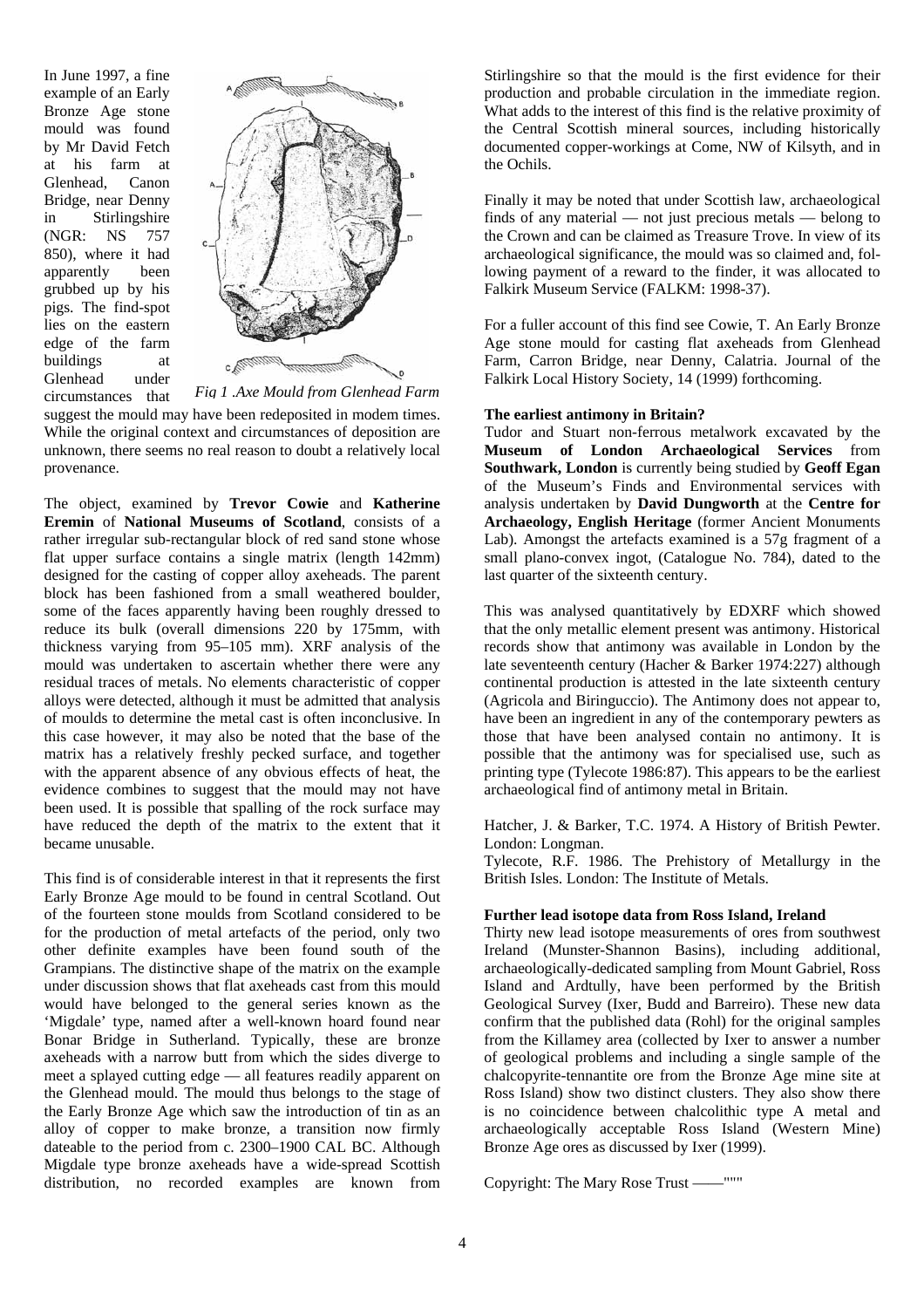In June 1997, a fine example of an Early Bronze Age stone mould was found by Mr David Fetch at his farm at Glenhead, Canon Bridge, near Denny in Stirlingshire (NGR: NS 757 850), where it had apparently been grubbed up by his pigs. The find-spot lies on the eastern edge of the farm buildings at Glenhead under circumstances that



*Fig 1 .Axe Mould from Glenhead Farm*

suggest the mould may have been redeposited in modem times. While the original context and circumstances of deposition are unknown, there seems no real reason to doubt a relatively local provenance.

The object, examined by **Trevor Cowie** and **Katherine Eremin** of **National Museums of Scotland**, consists of a rather irregular sub-rectangular block of red sand stone whose flat upper surface contains a single matrix (length 142mm) designed for the casting of copper alloy axeheads. The parent block has been fashioned from a small weathered boulder, some of the faces apparently having been roughly dressed to reduce its bulk (overall dimensions 220 by 175mm, with thickness varying from 95–105 mm). XRF analysis of the mould was undertaken to ascertain whether there were any residual traces of metals. No elements characteristic of copper alloys were detected, although it must be admitted that analysis of moulds to determine the metal cast is often inconclusive. In this case however, it may also be noted that the base of the matrix has a relatively freshly pecked surface, and together with the apparent absence of any obvious effects of heat, the evidence combines to suggest that the mould may not have been used. It is possible that spalling of the rock surface may have reduced the depth of the matrix to the extent that it became unusable.

This find is of considerable interest in that it represents the first Early Bronze Age mould to be found in central Scotland. Out of the fourteen stone moulds from Scotland considered to be for the production of metal artefacts of the period, only two other definite examples have been found south of the Grampians. The distinctive shape of the matrix on the example under discussion shows that flat axeheads cast from this mould would have belonged to the general series known as the 'Migdale' type, named after a well-known hoard found near Bonar Bridge in Sutherland. Typically, these are bronze axeheads with a narrow butt from which the sides diverge to meet a splayed cutting edge — all features readily apparent on the Glenhead mould. The mould thus belongs to the stage of the Early Bronze Age which saw the introduction of tin as an alloy of copper to make bronze, a transition now firmly dateable to the period from c. 2300–1900 CAL BC. Although Migdale type bronze axeheads have a wide-spread Scottish distribution, no recorded examples are known from Stirlingshire so that the mould is the first evidence for their production and probable circulation in the immediate region. What adds to the interest of this find is the relative proximity of the Central Scottish mineral sources, including historically documented copper-workings at Come, NW of Kilsyth, and in the Ochils.

Finally it may be noted that under Scottish law, archaeological finds of any material — not just precious metals — belong to the Crown and can be claimed as Treasure Trove. In view of its archaeological significance, the mould was so claimed and, following payment of a reward to the finder, it was allocated to Falkirk Museum Service (FALKM: 1998-37).

For a fuller account of this find see Cowie, T. An Early Bronze Age stone mould for casting flat axeheads from Glenhead Farm, Carron Bridge, near Denny, Calatria. Journal of the Falkirk Local History Society, 14 (1999) forthcoming.

#### **The earliest antimony in Britain?**

Tudor and Stuart non-ferrous metalwork excavated by the **Museum of London Archaeological Services** from **Southwark, London** is currently being studied by **Geoff Egan** of the Museum's Finds and Environmental services with analysis undertaken by **David Dungworth** at the **Centre for Archaeology, English Heritage** (former Ancient Monuments Lab). Amongst the artefacts examined is a 57g fragment of a small plano-convex ingot, (Catalogue No. 784), dated to the last quarter of the sixteenth century.

This was analysed quantitatively by EDXRF which showed that the only metallic element present was antimony. Historical records show that antimony was available in London by the late seventeenth century (Hacher & Barker 1974:227) although continental production is attested in the late sixteenth century (Agricola and Biringuccio). The Antimony does not appear to, have been an ingredient in any of the contemporary pewters as those that have been analysed contain no antimony. It is possible that the antimony was for specialised use, such as printing type (Tylecote 1986:87). This appears to be the earliest archaeological find of antimony metal in Britain.

Hatcher, J. & Barker, T.C. 1974. A History of British Pewter. London: Longman.

Tylecote, R.F. 1986. The Prehistory of Metallurgy in the British Isles. London: The Institute of Metals.

#### **Further lead isotope data from Ross Island, Ireland**

Thirty new lead isotope measurements of ores from southwest Ireland (Munster-Shannon Basins), including additional, archaeologically-dedicated sampling from Mount Gabriel, Ross Island and Ardtully, have been performed by the British Geological Survey (Ixer, Budd and Barreiro). These new data confirm that the published data (Rohl) for the original samples from the Killamey area (collected by Ixer to answer a number of geological problems and including a single sample of the chalcopyrite-tennantite ore from the Bronze Age mine site at Ross Island) show two distinct clusters. They also show there is no coincidence between chalcolithic type A metal and archaeologically acceptable Ross Island (Western Mine) Bronze Age ores as discussed by Ixer (1999).

Copyright: The Mary Rose Trust ——"""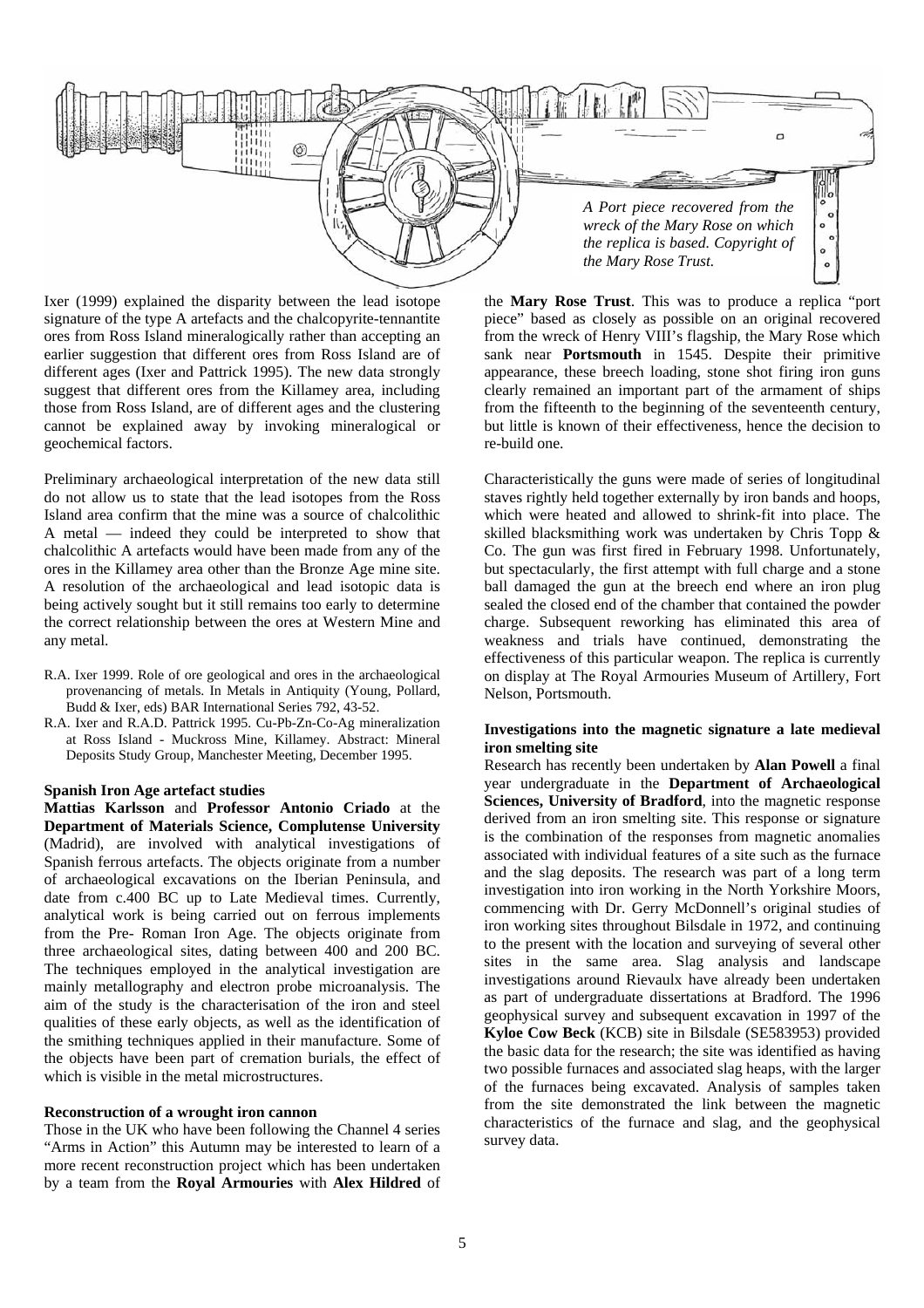

Ixer (1999) explained the disparity between the lead isotope signature of the type A artefacts and the chalcopyrite-tennantite ores from Ross Island mineralogically rather than accepting an earlier suggestion that different ores from Ross Island are of different ages (Ixer and Pattrick 1995). The new data strongly suggest that different ores from the Killamey area, including those from Ross Island, are of different ages and the clustering cannot be explained away by invoking mineralogical or geochemical factors.

Preliminary archaeological interpretation of the new data still do not allow us to state that the lead isotopes from the Ross Island area confirm that the mine was a source of chalcolithic A metal — indeed they could be interpreted to show that chalcolithic A artefacts would have been made from any of the ores in the Killamey area other than the Bronze Age mine site. A resolution of the archaeological and lead isotopic data is being actively sought but it still remains too early to determine the correct relationship between the ores at Western Mine and any metal.

- R.A. Ixer 1999. Role of ore geological and ores in the archaeological provenancing of metals. In Metals in Antiquity (Young, Pollard, Budd & Ixer, eds) BAR International Series 792, 43-52.
- R.A. Ixer and R.A.D. Pattrick 1995. Cu-Pb-Zn-Co-Ag mineralization at Ross Island - Muckross Mine, Killamey. Abstract: Mineral Deposits Study Group, Manchester Meeting, December 1995.

#### **Spanish Iron Age artefact studies**

**Mattias Karlsson** and **Professor Antonio Criado** at the **Department of Materials Science, Complutense University** (Madrid), are involved with analytical investigations of Spanish ferrous artefacts. The objects originate from a number of archaeological excavations on the Iberian Peninsula, and date from c.400 BC up to Late Medieval times. Currently, analytical work is being carried out on ferrous implements from the Pre- Roman Iron Age. The objects originate from three archaeological sites, dating between 400 and 200 BC. The techniques employed in the analytical investigation are mainly metallography and electron probe microanalysis. The aim of the study is the characterisation of the iron and steel qualities of these early objects, as well as the identification of the smithing techniques applied in their manufacture. Some of the objects have been part of cremation burials, the effect of which is visible in the metal microstructures.

#### **Reconstruction of a wrought iron cannon**

Those in the UK who have been following the Channel 4 series "Arms in Action" this Autumn may be interested to learn of a more recent reconstruction project which has been undertaken by a team from the **Royal Armouries** with **Alex Hildred** of the **Mary Rose Trust**. This was to produce a replica "port piece" based as closely as possible on an original recovered from the wreck of Henry VIII's flagship, the Mary Rose which sank near **Portsmouth** in 1545. Despite their primitive appearance, these breech loading, stone shot firing iron guns clearly remained an important part of the armament of ships from the fifteenth to the beginning of the seventeenth century, but little is known of their effectiveness, hence the decision to re-build one.

Characteristically the guns were made of series of longitudinal staves rightly held together externally by iron bands and hoops, which were heated and allowed to shrink-fit into place. The skilled blacksmithing work was undertaken by Chris Topp & Co. The gun was first fired in February 1998. Unfortunately, but spectacularly, the first attempt with full charge and a stone ball damaged the gun at the breech end where an iron plug sealed the closed end of the chamber that contained the powder charge. Subsequent reworking has eliminated this area of weakness and trials have continued, demonstrating the effectiveness of this particular weapon. The replica is currently on display at The Royal Armouries Museum of Artillery, Fort Nelson, Portsmouth.

#### **Investigations into the magnetic signature a late medieval iron smelting site**

Research has recently been undertaken by **Alan Powell** a final year undergraduate in the **Department of Archaeological Sciences, University of Bradford**, into the magnetic response derived from an iron smelting site. This response or signature is the combination of the responses from magnetic anomalies associated with individual features of a site such as the furnace and the slag deposits. The research was part of a long term investigation into iron working in the North Yorkshire Moors, commencing with Dr. Gerry McDonnell's original studies of iron working sites throughout Bilsdale in 1972, and continuing to the present with the location and surveying of several other sites in the same area. Slag analysis and landscape investigations around Rievaulx have already been undertaken as part of undergraduate dissertations at Bradford. The 1996 geophysical survey and subsequent excavation in 1997 of the **Kyloe Cow Beck** (KCB) site in Bilsdale (SE583953) provided the basic data for the research; the site was identified as having two possible furnaces and associated slag heaps, with the larger of the furnaces being excavated. Analysis of samples taken from the site demonstrated the link between the magnetic characteristics of the furnace and slag, and the geophysical survey data.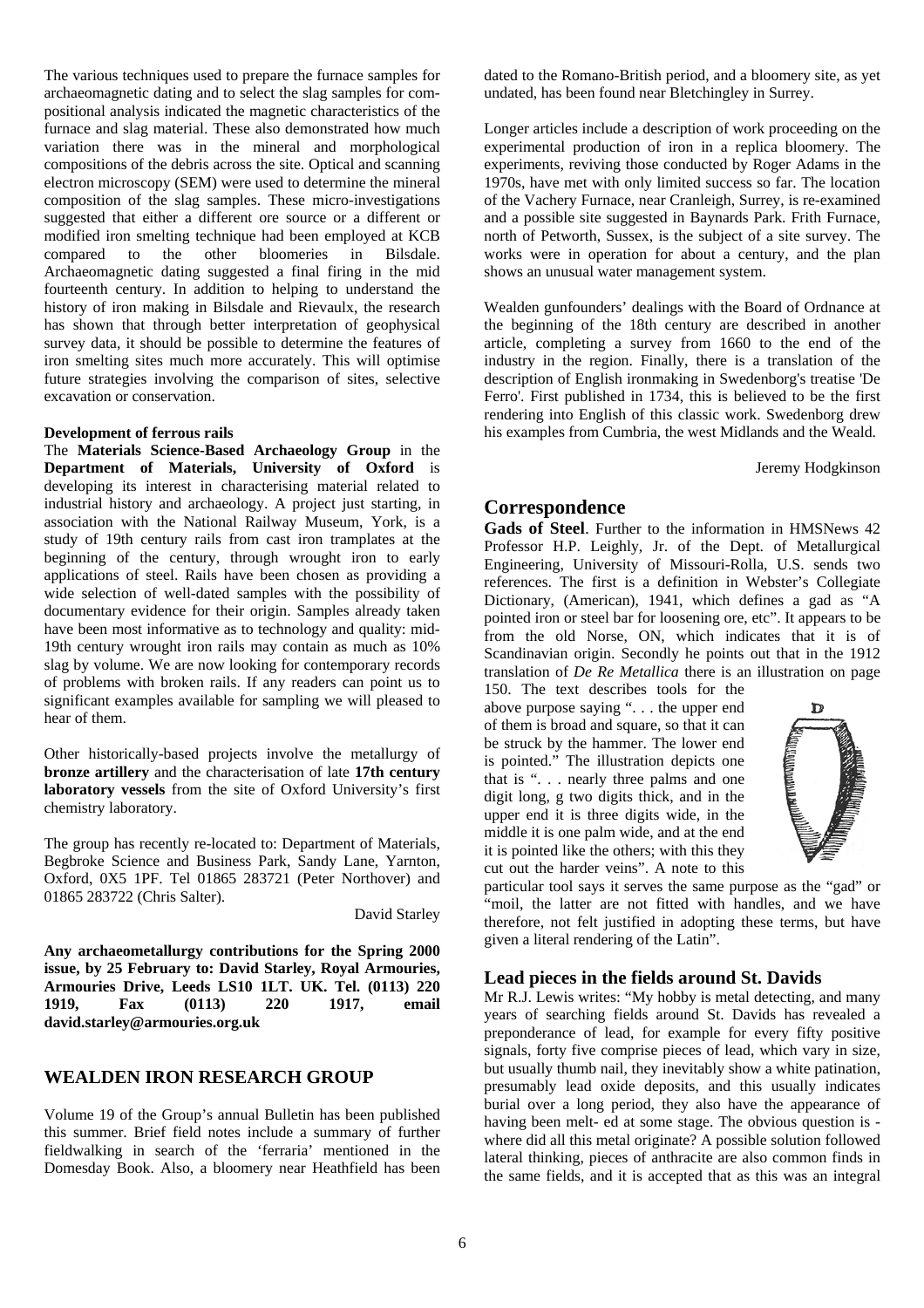The various techniques used to prepare the furnace samples for archaeomagnetic dating and to select the slag samples for compositional analysis indicated the magnetic characteristics of the furnace and slag material. These also demonstrated how much variation there was in the mineral and morphological compositions of the debris across the site. Optical and scanning electron microscopy (SEM) were used to determine the mineral composition of the slag samples. These micro-investigations suggested that either a different ore source or a different or modified iron smelting technique had been employed at KCB compared to the other bloomeries in Bilsdale. Archaeomagnetic dating suggested a final firing in the mid fourteenth century. In addition to helping to understand the history of iron making in Bilsdale and Rievaulx, the research has shown that through better interpretation of geophysical survey data, it should be possible to determine the features of iron smelting sites much more accurately. This will optimise future strategies involving the comparison of sites, selective excavation or conservation.

#### **Development of ferrous rails**

The **Materials Science-Based Archaeology Group** in the **Department of Materials, University of Oxford** is developing its interest in characterising material related to industrial history and archaeology. A project just starting, in association with the National Railway Museum, York, is a study of 19th century rails from cast iron tramplates at the beginning of the century, through wrought iron to early applications of steel. Rails have been chosen as providing a wide selection of well-dated samples with the possibility of documentary evidence for their origin. Samples already taken have been most informative as to technology and quality: mid-19th century wrought iron rails may contain as much as 10% slag by volume. We are now looking for contemporary records of problems with broken rails. If any readers can point us to significant examples available for sampling we will pleased to hear of them.

Other historically-based projects involve the metallurgy of **bronze artillery** and the characterisation of late **17th century laboratory vessels** from the site of Oxford University's first chemistry laboratory.

The group has recently re-located to: Department of Materials, Begbroke Science and Business Park, Sandy Lane, Yarnton, Oxford, 0X5 1PF. Tel 01865 283721 (Peter Northover) and 01865 283722 (Chris Salter).

David Starley

**Any archaeometallurgy contributions for the Spring 2000 issue, by 25 February to: David Starley, Royal Armouries, Armouries Drive, Leeds LS10 1LT. UK. Tel. (0113) 220 1919, Fax (0113) 220 1917, email david.starley@armouries.org.uk** 

## **WEALDEN IRON RESEARCH GROUP**

Volume 19 of the Group's annual Bulletin has been published this summer. Brief field notes include a summary of further fieldwalking in search of the 'ferraria' mentioned in the Domesday Book. Also, a bloomery near Heathfield has been dated to the Romano-British period, and a bloomery site, as yet undated, has been found near Bletchingley in Surrey.

Longer articles include a description of work proceeding on the experimental production of iron in a replica bloomery. The experiments, reviving those conducted by Roger Adams in the 1970s, have met with only limited success so far. The location of the Vachery Furnace, near Cranleigh, Surrey, is re-examined and a possible site suggested in Baynards Park. Frith Furnace, north of Petworth, Sussex, is the subject of a site survey. The works were in operation for about a century, and the plan shows an unusual water management system.

Wealden gunfounders' dealings with the Board of Ordnance at the beginning of the 18th century are described in another article, completing a survey from 1660 to the end of the industry in the region. Finally, there is a translation of the description of English ironmaking in Swedenborg's treatise 'De Ferro'. First published in 1734, this is believed to be the first rendering into English of this classic work. Swedenborg drew his examples from Cumbria, the west Midlands and the Weald.

Jeremy Hodgkinson

## **Correspondence**

**Gads of Steel**. Further to the information in HMSNews 42 Professor H.P. Leighly, Jr. of the Dept. of Metallurgical Engineering, University of Missouri-Rolla, U.S. sends two references. The first is a definition in Webster's Collegiate Dictionary, (American), 1941, which defines a gad as "A pointed iron or steel bar for loosening ore, etc". It appears to be from the old Norse, ON, which indicates that it is of Scandinavian origin. Secondly he points out that in the 1912 translation of *De Re Metallica* there is an illustration on page

150. The text describes tools for the above purpose saying ". . . the upper end of them is broad and square, so that it can be struck by the hammer. The lower end is pointed." The illustration depicts one that is ". . . nearly three palms and one digit long, g two digits thick, and in the upper end it is three digits wide, in the middle it is one palm wide, and at the end it is pointed like the others; with this they cut out the harder veins". A note to this



particular tool says it serves the same purpose as the "gad" or "moil, the latter are not fitted with handles, and we have therefore, not felt justified in adopting these terms, but have given a literal rendering of the Latin".

#### **Lead pieces in the fields around St. Davids**

Mr R.J. Lewis writes: "My hobby is metal detecting, and many years of searching fields around St. Davids has revealed a preponderance of lead, for example for every fifty positive signals, forty five comprise pieces of lead, which vary in size, but usually thumb nail, they inevitably show a white patination, presumably lead oxide deposits, and this usually indicates burial over a long period, they also have the appearance of having been melt- ed at some stage. The obvious question is where did all this metal originate? A possible solution followed lateral thinking, pieces of anthracite are also common finds in the same fields, and it is accepted that as this was an integral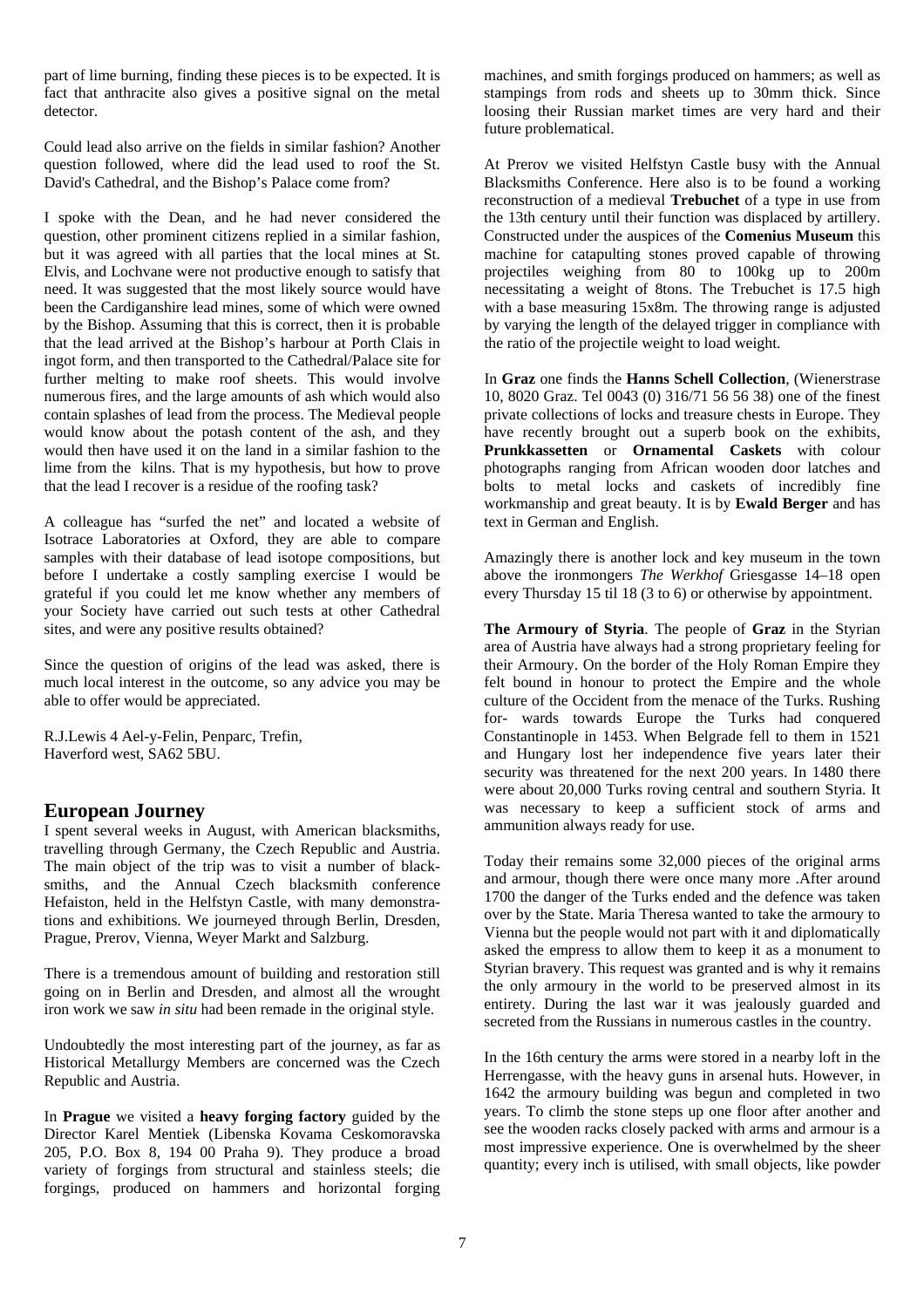part of lime burning, finding these pieces is to be expected. It is fact that anthracite also gives a positive signal on the metal detector.

Could lead also arrive on the fields in similar fashion? Another question followed, where did the lead used to roof the St. David's Cathedral, and the Bishop's Palace come from?

I spoke with the Dean, and he had never considered the question, other prominent citizens replied in a similar fashion, but it was agreed with all parties that the local mines at St. Elvis, and Lochvane were not productive enough to satisfy that need. It was suggested that the most likely source would have been the Cardiganshire lead mines, some of which were owned by the Bishop. Assuming that this is correct, then it is probable that the lead arrived at the Bishop's harbour at Porth Clais in ingot form, and then transported to the Cathedral/Palace site for further melting to make roof sheets. This would involve numerous fires, and the large amounts of ash which would also contain splashes of lead from the process. The Medieval people would know about the potash content of the ash, and they would then have used it on the land in a similar fashion to the lime from the kilns. That is my hypothesis, but how to prove that the lead I recover is a residue of the roofing task?

A colleague has "surfed the net" and located a website of Isotrace Laboratories at Oxford, they are able to compare samples with their database of lead isotope compositions, but before I undertake a costly sampling exercise I would be grateful if you could let me know whether any members of your Society have carried out such tests at other Cathedral sites, and were any positive results obtained?

Since the question of origins of the lead was asked, there is much local interest in the outcome, so any advice you may be able to offer would be appreciated.

R.J.Lewis 4 Ael-y-Felin, Penparc, Trefin, Haverford west, SA62 5BU.

## **European Journey**

I spent several weeks in August, with American blacksmiths, travelling through Germany, the Czech Republic and Austria. The main object of the trip was to visit a number of blacksmiths, and the Annual Czech blacksmith conference Hefaiston, held in the Helfstyn Castle, with many demonstrations and exhibitions. We journeyed through Berlin, Dresden, Prague, Prerov, Vienna, Weyer Markt and Salzburg.

There is a tremendous amount of building and restoration still going on in Berlin and Dresden, and almost all the wrought iron work we saw *in situ* had been remade in the original style.

Undoubtedly the most interesting part of the journey, as far as Historical Metallurgy Members are concerned was the Czech Republic and Austria.

In **Prague** we visited a **heavy forging factory** guided by the Director Karel Mentiek (Libenska Kovama Ceskomoravska 205, P.O. Box 8, 194 00 Praha 9). They produce a broad variety of forgings from structural and stainless steels; die forgings, produced on hammers and horizontal forging machines, and smith forgings produced on hammers; as well as stampings from rods and sheets up to 30mm thick. Since loosing their Russian market times are very hard and their future problematical.

At Prerov we visited Helfstyn Castle busy with the Annual Blacksmiths Conference. Here also is to be found a working reconstruction of a medieval **Trebuchet** of a type in use from the 13th century until their function was displaced by artillery. Constructed under the auspices of the **Comenius Museum** this machine for catapulting stones proved capable of throwing projectiles weighing from 80 to 100kg up to 200m necessitating a weight of 8tons. The Trebuchet is 17.5 high with a base measuring 15x8m. The throwing range is adjusted by varying the length of the delayed trigger in compliance with the ratio of the projectile weight to load weight.

In **Graz** one finds the **Hanns Schell Collection**, (Wienerstrase 10, 8020 Graz. Tel 0043 (0) 316/71 56 56 38) one of the finest private collections of locks and treasure chests in Europe. They have recently brought out a superb book on the exhibits, **Prunkkassetten** or **Ornamental Caskets** with colour photographs ranging from African wooden door latches and bolts to metal locks and caskets of incredibly fine workmanship and great beauty. It is by **Ewald Berger** and has text in German and English.

Amazingly there is another lock and key museum in the town above the ironmongers *The Werkhof* Griesgasse 14–18 open every Thursday 15 til 18 (3 to 6) or otherwise by appointment.

**The Armoury of Styria**. The people of **Graz** in the Styrian area of Austria have always had a strong proprietary feeling for their Armoury. On the border of the Holy Roman Empire they felt bound in honour to protect the Empire and the whole culture of the Occident from the menace of the Turks. Rushing for- wards towards Europe the Turks had conquered Constantinople in 1453. When Belgrade fell to them in 1521 and Hungary lost her independence five years later their security was threatened for the next 200 years. In 1480 there were about 20,000 Turks roving central and southern Styria. It was necessary to keep a sufficient stock of arms and ammunition always ready for use.

Today their remains some 32,000 pieces of the original arms and armour, though there were once many more .After around 1700 the danger of the Turks ended and the defence was taken over by the State. Maria Theresa wanted to take the armoury to Vienna but the people would not part with it and diplomatically asked the empress to allow them to keep it as a monument to Styrian bravery. This request was granted and is why it remains the only armoury in the world to be preserved almost in its entirety. During the last war it was jealously guarded and secreted from the Russians in numerous castles in the country.

In the 16th century the arms were stored in a nearby loft in the Herrengasse, with the heavy guns in arsenal huts. However, in 1642 the armoury building was begun and completed in two years. To climb the stone steps up one floor after another and see the wooden racks closely packed with arms and armour is a most impressive experience. One is overwhelmed by the sheer quantity; every inch is utilised, with small objects, like powder